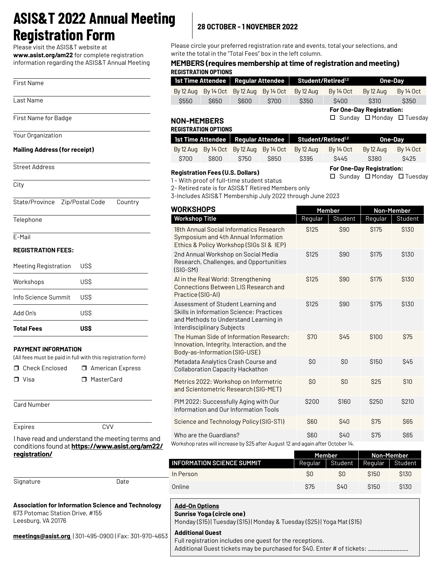## **ASIS&T 2022 Annual Meeting Registration Form 28 OCTOBER - 1 NOVEMBER 2022**

Please visit the ASIS&T website at

**www.asist.org/am22** for complete registration information regarding the ASIS&T Annual Meeting

| <b>First Name</b><br>Last Name<br>First Name for Badge<br>Your Organization<br><b>Mailing Address (for receipt)</b><br><b>Street Address</b><br>City<br>State/Province<br>Zip/Postal Code<br>Country<br>Telephone<br>F-Mail |  |
|-----------------------------------------------------------------------------------------------------------------------------------------------------------------------------------------------------------------------------|--|
|                                                                                                                                                                                                                             |  |
|                                                                                                                                                                                                                             |  |
|                                                                                                                                                                                                                             |  |
|                                                                                                                                                                                                                             |  |
|                                                                                                                                                                                                                             |  |
|                                                                                                                                                                                                                             |  |
|                                                                                                                                                                                                                             |  |
|                                                                                                                                                                                                                             |  |
|                                                                                                                                                                                                                             |  |
|                                                                                                                                                                                                                             |  |
| <b>REGISTRATION FEES:</b>                                                                                                                                                                                                   |  |
| US\$<br><b>Meeting Registration</b>                                                                                                                                                                                         |  |
| US\$<br>Workshops                                                                                                                                                                                                           |  |
| Info Science Summit<br>USS                                                                                                                                                                                                  |  |
| US\$<br>Add On's                                                                                                                                                                                                            |  |
| Total Fees<br><b>US\$</b>                                                                                                                                                                                                   |  |
| PAYMENT INFORMATION<br>(All fees must be paid in full with this registration form)                                                                                                                                          |  |
| Check Enclosed<br><b>American Express</b><br>п<br>□.                                                                                                                                                                        |  |
| MasterCard<br>Visa<br>⊓                                                                                                                                                                                                     |  |
| <b>Card Number</b>                                                                                                                                                                                                          |  |
| <b>CVV</b><br><b>Expires</b>                                                                                                                                                                                                |  |
| I have read and understand the meeting terms and                                                                                                                                                                            |  |

conditions found at **https://www.asist.org/am22/ registration/**

| Signature | Date |
|-----------|------|
|           |      |

#### **Association for Information Science and Technology**  673 Potomac Station Drive, #155 Leesburg, VA 20176

**[meetings@asist.org](mailto:meetings@asist.org”meetings@asist.org )** | 301-495-0900 | Fax: 301-970-4653

Please circle your preferred registration rate and events, total your selections, and write the total in the "Total Fees" box in the left column.

#### **MEMBERS (requires membership at time of registration and meeting) REGISTRATION OPTIONS**

| 1st Time Attendee   Regular Attendee   Student/Retired <sup>1,2</sup> |             |      |                                                                 | One-Dav |             |           |           |
|-----------------------------------------------------------------------|-------------|------|-----------------------------------------------------------------|---------|-------------|-----------|-----------|
|                                                                       |             |      | $\frac{1}{2}$ By 12 Aug By 14 Oct By 12 Aug By 14 Oct By 12 Aug |         | By 14 Oct   | By 12 Aug | By 14 Oct |
| S550                                                                  | <b>S650</b> | S600 | S700                                                            | S350    | <b>S400</b> | S310      | S350      |

**For One-Day Registration:**  $\square$  Sunday  $\square$  Monday  $\square$  Tuesday

**For One-Day Registration:**

 $\square$  Sunday  $\square$  Monday  $\square$  Tuesday

#### **NON-MEMBERS REGISTRATION OPTIONS**

| <b>ILUIUTIVALIUN UL TIUNU</b>                                         |       |      |      |                                                   |           |           |           |
|-----------------------------------------------------------------------|-------|------|------|---------------------------------------------------|-----------|-----------|-----------|
| 1st Time Attendee   Regular Attendee   Student/Retired <sup>1,2</sup> |       |      |      | One-Dav                                           |           |           |           |
|                                                                       |       |      |      | By 12 Aug By 14 Oct By 12 Aug By 14 Oct By 12 Aug | By 14 Oct | By 12 Aug | By 14 Oct |
| \$700                                                                 | \$800 | S750 | S850 | S395                                              | S445      | \$380     | S425      |

#### **Registration Fees (U.S. Dollars)**

1 – With proof of full-time student status

2- Retired rate is for ASIS&T Retired Members only

3-Includes ASIS&T Membership July 2022 through June 2023

| <b>WORKSHOPS</b>                                                                                                                                      |             | Member     | Non-Member  |             |  |
|-------------------------------------------------------------------------------------------------------------------------------------------------------|-------------|------------|-------------|-------------|--|
| <b>Workshop Title</b>                                                                                                                                 | Regular     | Student    | Regular     | Student     |  |
| 18th Annual Social Informatics Research<br>Symposium and 4th Annual Information<br>Ethics & Policy Workshop (SIGs SI & IEP)                           | \$125       | \$90       | \$175       | \$130       |  |
| 2nd Annual Workshop on Social Media<br>Research, Challenges, and Opportunities<br>$(SIG-SM)$                                                          | <b>S125</b> | \$90       | <b>S175</b> | <b>S130</b> |  |
| AI in the Real World: Strengthening<br>Connections Between LIS Research and<br>Practice (SIG-AI)                                                      | \$125       | \$90       | <b>S175</b> | \$130       |  |
| Assessment of Student Learning and<br>Skills in Information Science: Practices<br>and Methods to Understand Learning in<br>Interdisciplinary Subjects | <b>S125</b> | \$90       | <b>S175</b> | \$130       |  |
| The Human Side of Information Research:<br>Innovation, Integrity, Interaction, and the<br>Body-as-Information (SIG-USE)                               | \$70        | <b>S45</b> | \$100       | \$75        |  |
| Metadata Analytics Crash Course and<br><b>Collaboration Capacity Hackathon</b>                                                                        | SO          | SO         | <b>S150</b> | \$45        |  |
| Metrics 2022: Workshop on Informetric<br>and Scientometric Research (SIG-MET)                                                                         | SO          | \$0        | \$25        | \$10        |  |
| PIM 2022: Successfully Aging with Our<br>Information and Our Information Tools                                                                        | \$200       | \$160      | \$250       | <b>S210</b> |  |
| Science and Technology Policy (SIG-STI)                                                                                                               | \$60        | \$40       | <b>\$75</b> | <b>S65</b>  |  |
| Who are the Guardians?<br>Workshop rates will increase by \$25 after August 12 and again after October 14.                                            | <b>S60</b>  | \$40       | <b>\$75</b> | \$65        |  |

|                                   | Member  |            | Non-Member       |                  |
|-----------------------------------|---------|------------|------------------|------------------|
| <b>INFORMATION SCIENCE SUMMIT</b> | Regular | Student    | Reaular          | Student          |
| In Person                         | S0      | SO         | S <sub>150</sub> | S <sub>130</sub> |
| Online                            | \$75    | <b>S40</b> | S <sub>150</sub> | S <sub>130</sub> |

#### **Add-On Options**

**Sunrise Yoga (circle one)**

Monday (\$15) | Tuesday (\$15) | Monday & Tuesday (\$25) | Yoga Mat (\$15)

#### **Additional Guest**

Full registration includes one guest for the receptions.

Additional Guest tickets may be purchased for \$40. Enter # of tickets: